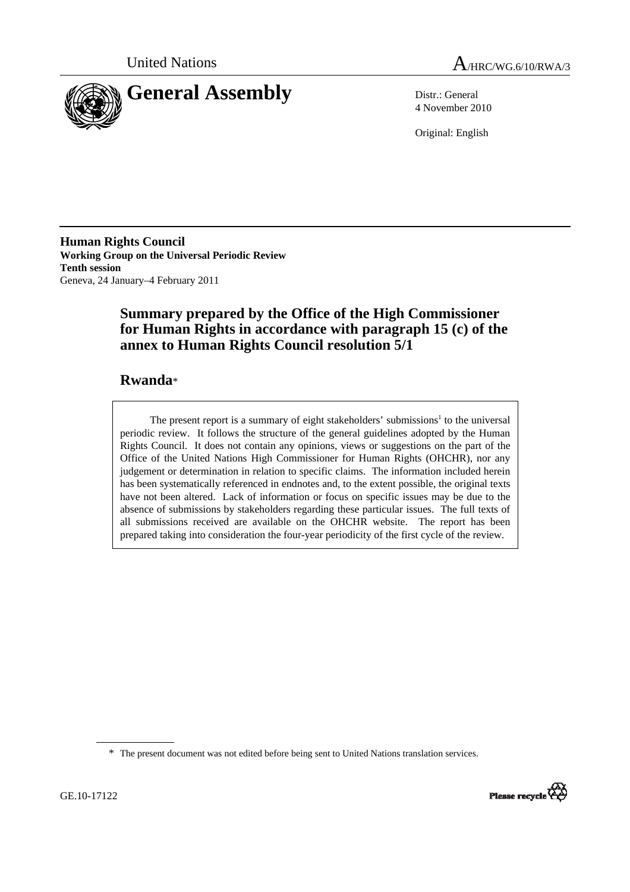



4 November 2010

Original: English

**Human Rights Council Working Group on the Universal Periodic Review Tenth session**  Geneva, 24 January–4 February 2011

# **Summary prepared by the Office of the High Commissioner for Human Rights in accordance with paragraph 15 (c) of the annex to Human Rights Council resolution 5/1**

# **Rwanda**\*

The present report is a summary of eight stakeholders' submissions<sup>1</sup> to the universal periodic review. It follows the structure of the general guidelines adopted by the Human Rights Council. It does not contain any opinions, views or suggestions on the part of the Office of the United Nations High Commissioner for Human Rights (OHCHR), nor any judgement or determination in relation to specific claims. The information included herein has been systematically referenced in endnotes and, to the extent possible, the original texts have not been altered. Lack of information or focus on specific issues may be due to the absence of submissions by stakeholders regarding these particular issues. The full texts of all submissions received are available on the OHCHR website. The report has been prepared taking into consideration the four-year periodicity of the first cycle of the review.

<sup>\*</sup> The present document was not edited before being sent to United Nations translation services.

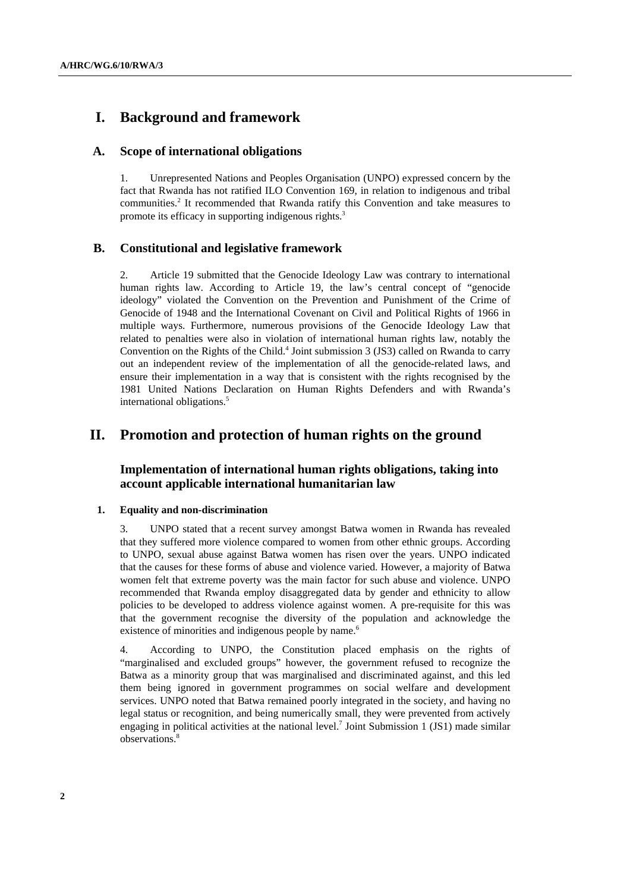# **I. Background and framework**

### **A. Scope of international obligations**

1. Unrepresented Nations and Peoples Organisation (UNPO) expressed concern by the fact that Rwanda has not ratified ILO Convention 169, in relation to indigenous and tribal communities.<sup>2</sup> It recommended that Rwanda ratify this Convention and take measures to promote its efficacy in supporting indigenous rights.<sup>3</sup>

### **B. Constitutional and legislative framework**

2. Article 19 submitted that the Genocide Ideology Law was contrary to international human rights law. According to Article 19, the law's central concept of "genocide ideology" violated the Convention on the Prevention and Punishment of the Crime of Genocide of 1948 and the International Covenant on Civil and Political Rights of 1966 in multiple ways. Furthermore, numerous provisions of the Genocide Ideology Law that related to penalties were also in violation of international human rights law, notably the Convention on the Rights of the Child.<sup>4</sup> Joint submission 3 (JS3) called on Rwanda to carry out an independent review of the implementation of all the genocide-related laws, and ensure their implementation in a way that is consistent with the rights recognised by the 1981 United Nations Declaration on Human Rights Defenders and with Rwanda's international obligations.<sup>5</sup>

## **II. Promotion and protection of human rights on the ground**

### **Implementation of international human rights obligations, taking into account applicable international humanitarian law**

#### **1. Equality and non-discrimination**

3. UNPO stated that a recent survey amongst Batwa women in Rwanda has revealed that they suffered more violence compared to women from other ethnic groups. According to UNPO, sexual abuse against Batwa women has risen over the years. UNPO indicated that the causes for these forms of abuse and violence varied. However, a majority of Batwa women felt that extreme poverty was the main factor for such abuse and violence. UNPO recommended that Rwanda employ disaggregated data by gender and ethnicity to allow policies to be developed to address violence against women. A pre-requisite for this was that the government recognise the diversity of the population and acknowledge the existence of minorities and indigenous people by name.<sup>6</sup>

4. According to UNPO, the Constitution placed emphasis on the rights of "marginalised and excluded groups" however, the government refused to recognize the Batwa as a minority group that was marginalised and discriminated against, and this led them being ignored in government programmes on social welfare and development services. UNPO noted that Batwa remained poorly integrated in the society, and having no legal status or recognition, and being numerically small, they were prevented from actively engaging in political activities at the national level.<sup>7</sup> Joint Submission 1 (JS1) made similar observations.8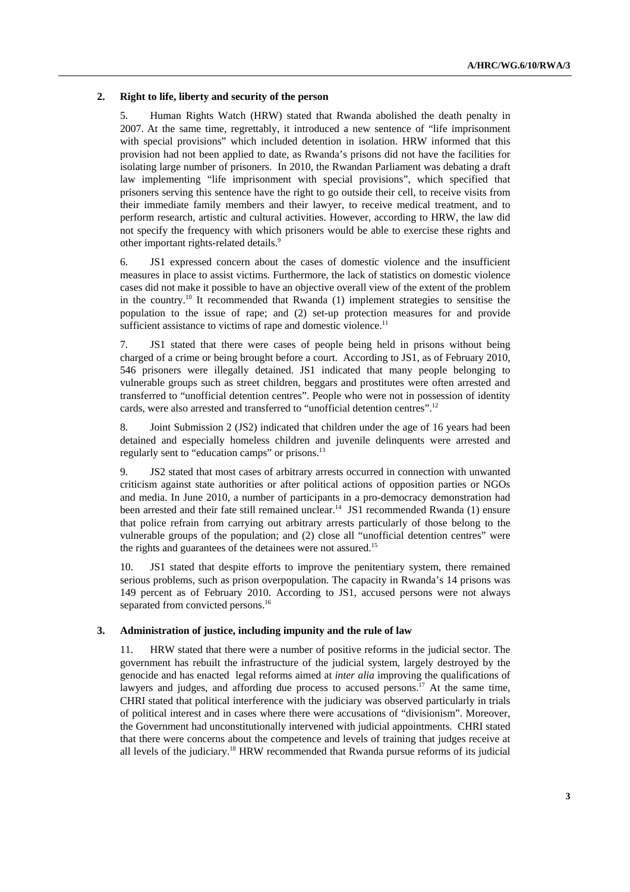#### **2. Right to life, liberty and security of the person**

5. Human Rights Watch (HRW) stated that Rwanda abolished the death penalty in 2007. At the same time, regrettably, it introduced a new sentence of "life imprisonment with special provisions" which included detention in isolation. HRW informed that this provision had not been applied to date, as Rwanda's prisons did not have the facilities for isolating large number of prisoners. In 2010, the Rwandan Parliament was debating a draft law implementing "life imprisonment with special provisions", which specified that prisoners serving this sentence have the right to go outside their cell, to receive visits from their immediate family members and their lawyer, to receive medical treatment, and to perform research, artistic and cultural activities. However, according to HRW, the law did not specify the frequency with which prisoners would be able to exercise these rights and other important rights-related details.<sup>9</sup>

6. JS1 expressed concern about the cases of domestic violence and the insufficient measures in place to assist victims. Furthermore, the lack of statistics on domestic violence cases did not make it possible to have an objective overall view of the extent of the problem in the country.<sup>10</sup> It recommended that Rwanda  $(1)$  implement strategies to sensitise the population to the issue of rape; and (2) set-up protection measures for and provide sufficient assistance to victims of rape and domestic violence.<sup>11</sup>

7. JS1 stated that there were cases of people being held in prisons without being charged of a crime or being brought before a court. According to JS1, as of February 2010, 546 prisoners were illegally detained. JS1 indicated that many people belonging to vulnerable groups such as street children, beggars and prostitutes were often arrested and transferred to "unofficial detention centres". People who were not in possession of identity cards, were also arrested and transferred to "unofficial detention centres".<sup>12</sup>

8. Joint Submission 2 (JS2) indicated that children under the age of 16 years had been detained and especially homeless children and juvenile delinquents were arrested and regularly sent to "education camps" or prisons.<sup>13</sup>

9. JS2 stated that most cases of arbitrary arrests occurred in connection with unwanted criticism against state authorities or after political actions of opposition parties or NGOs and media. In June 2010, a number of participants in a pro-democracy demonstration had been arrested and their fate still remained unclear.<sup>14</sup> JS1 recommended Rwanda (1) ensure that police refrain from carrying out arbitrary arrests particularly of those belong to the vulnerable groups of the population; and (2) close all "unofficial detention centres" were the rights and guarantees of the detainees were not assured.<sup>15</sup>

10. JS1 stated that despite efforts to improve the penitentiary system, there remained serious problems, such as prison overpopulation. The capacity in Rwanda's 14 prisons was 149 percent as of February 2010. According to JS1, accused persons were not always separated from convicted persons.<sup>16</sup>

#### **3. Administration of justice, including impunity and the rule of law**

11. HRW stated that there were a number of positive reforms in the judicial sector. The government has rebuilt the infrastructure of the judicial system, largely destroyed by the genocide and has enacted legal reforms aimed at *inter alia* improving the qualifications of lawyers and judges, and affording due process to accused persons.<sup>17</sup> At the same time, CHRI stated that political interference with the judiciary was observed particularly in trials of political interest and in cases where there were accusations of "divisionism". Moreover, the Government had unconstitutionally intervened with judicial appointments. CHRI stated that there were concerns about the competence and levels of training that judges receive at all levels of the judiciary.18 HRW recommended that Rwanda pursue reforms of its judicial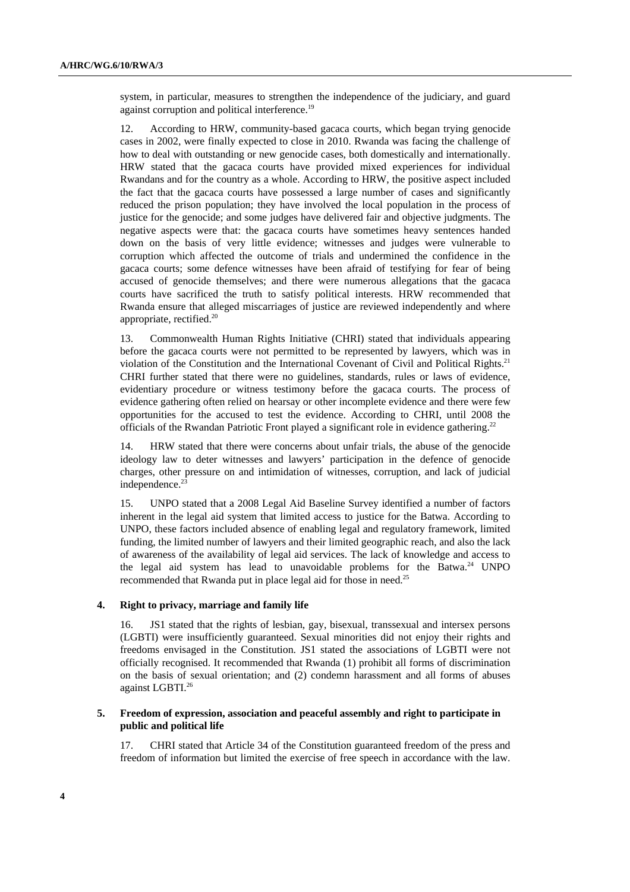system, in particular, measures to strengthen the independence of the judiciary, and guard against corruption and political interference.<sup>19</sup>

12. According to HRW, community-based gacaca courts, which began trying genocide cases in 2002, were finally expected to close in 2010. Rwanda was facing the challenge of how to deal with outstanding or new genocide cases, both domestically and internationally. HRW stated that the gacaca courts have provided mixed experiences for individual Rwandans and for the country as a whole. According to HRW, the positive aspect included the fact that the gacaca courts have possessed a large number of cases and significantly reduced the prison population; they have involved the local population in the process of justice for the genocide; and some judges have delivered fair and objective judgments. The negative aspects were that: the gacaca courts have sometimes heavy sentences handed down on the basis of very little evidence; witnesses and judges were vulnerable to corruption which affected the outcome of trials and undermined the confidence in the gacaca courts; some defence witnesses have been afraid of testifying for fear of being accused of genocide themselves; and there were numerous allegations that the gacaca courts have sacrificed the truth to satisfy political interests. HRW recommended that Rwanda ensure that alleged miscarriages of justice are reviewed independently and where appropriate, rectified.20

13. Commonwealth Human Rights Initiative (CHRI) stated that individuals appearing before the gacaca courts were not permitted to be represented by lawyers, which was in violation of the Constitution and the International Covenant of Civil and Political Rights.<sup>21</sup> CHRI further stated that there were no guidelines, standards, rules or laws of evidence, evidentiary procedure or witness testimony before the gacaca courts. The process of evidence gathering often relied on hearsay or other incomplete evidence and there were few opportunities for the accused to test the evidence. According to CHRI, until 2008 the officials of the Rwandan Patriotic Front played a significant role in evidence gathering.<sup>22</sup>

14. HRW stated that there were concerns about unfair trials, the abuse of the genocide ideology law to deter witnesses and lawyers' participation in the defence of genocide charges, other pressure on and intimidation of witnesses, corruption, and lack of judicial independence.<sup>23</sup>

15. UNPO stated that a 2008 Legal Aid Baseline Survey identified a number of factors inherent in the legal aid system that limited access to justice for the Batwa. According to UNPO, these factors included absence of enabling legal and regulatory framework, limited funding, the limited number of lawyers and their limited geographic reach, and also the lack of awareness of the availability of legal aid services. The lack of knowledge and access to the legal aid system has lead to unavoidable problems for the Batwa.<sup>24</sup> UNPO recommended that Rwanda put in place legal aid for those in need.<sup>25</sup>

#### **4. Right to privacy, marriage and family life**

16. JS1 stated that the rights of lesbian, gay, bisexual, transsexual and intersex persons (LGBTI) were insufficiently guaranteed. Sexual minorities did not enjoy their rights and freedoms envisaged in the Constitution. JS1 stated the associations of LGBTI were not officially recognised. It recommended that Rwanda (1) prohibit all forms of discrimination on the basis of sexual orientation; and (2) condemn harassment and all forms of abuses against LGBTI.26

### **5. Freedom of expression, association and peaceful assembly and right to participate in public and political life**

17. CHRI stated that Article 34 of the Constitution guaranteed freedom of the press and freedom of information but limited the exercise of free speech in accordance with the law.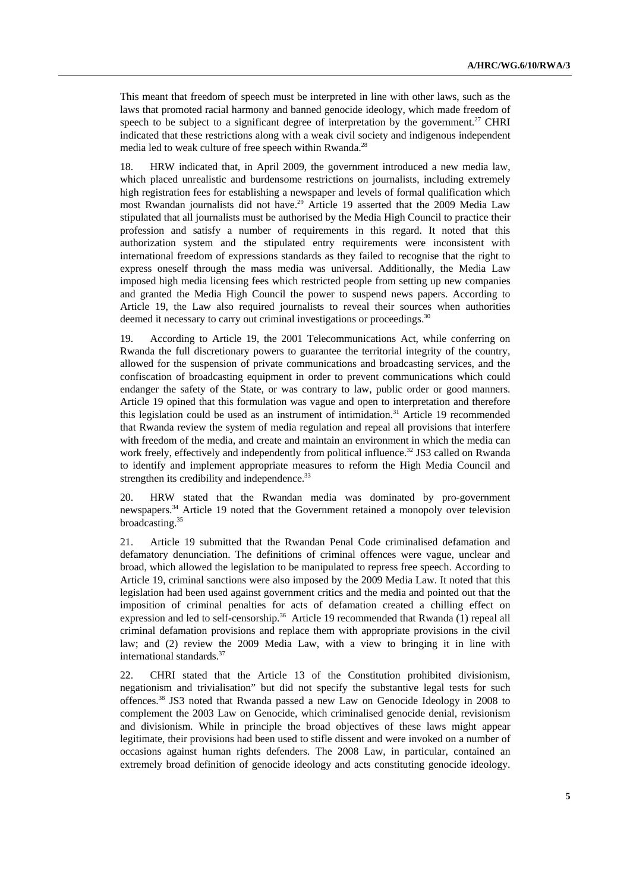This meant that freedom of speech must be interpreted in line with other laws, such as the laws that promoted racial harmony and banned genocide ideology, which made freedom of speech to be subject to a significant degree of interpretation by the government.<sup>27</sup> CHRI indicated that these restrictions along with a weak civil society and indigenous independent media led to weak culture of free speech within Rwanda.<sup>28</sup>

18. HRW indicated that, in April 2009, the government introduced a new media law, which placed unrealistic and burdensome restrictions on journalists, including extremely high registration fees for establishing a newspaper and levels of formal qualification which most Rwandan journalists did not have.<sup>29</sup> Article 19 asserted that the 2009 Media Law stipulated that all journalists must be authorised by the Media High Council to practice their profession and satisfy a number of requirements in this regard. It noted that this authorization system and the stipulated entry requirements were inconsistent with international freedom of expressions standards as they failed to recognise that the right to express oneself through the mass media was universal. Additionally, the Media Law imposed high media licensing fees which restricted people from setting up new companies and granted the Media High Council the power to suspend news papers. According to Article 19, the Law also required journalists to reveal their sources when authorities deemed it necessary to carry out criminal investigations or proceedings.<sup>30</sup>

19. According to Article 19, the 2001 Telecommunications Act, while conferring on Rwanda the full discretionary powers to guarantee the territorial integrity of the country, allowed for the suspension of private communications and broadcasting services, and the confiscation of broadcasting equipment in order to prevent communications which could endanger the safety of the State, or was contrary to law, public order or good manners. Article 19 opined that this formulation was vague and open to interpretation and therefore this legislation could be used as an instrument of intimidation.<sup>31</sup> Article 19 recommended that Rwanda review the system of media regulation and repeal all provisions that interfere with freedom of the media, and create and maintain an environment in which the media can work freely, effectively and independently from political influence.<sup>32</sup> JS3 called on Rwanda to identify and implement appropriate measures to reform the High Media Council and strengthen its credibility and independence.<sup>33</sup>

20. HRW stated that the Rwandan media was dominated by pro-government newspapers.34 Article 19 noted that the Government retained a monopoly over television  $broadcasting.<sup>35</sup>$ 

21. Article 19 submitted that the Rwandan Penal Code criminalised defamation and defamatory denunciation. The definitions of criminal offences were vague, unclear and broad, which allowed the legislation to be manipulated to repress free speech. According to Article 19, criminal sanctions were also imposed by the 2009 Media Law. It noted that this legislation had been used against government critics and the media and pointed out that the imposition of criminal penalties for acts of defamation created a chilling effect on expression and led to self-censorship.<sup>36</sup> Article 19 recommended that Rwanda (1) repeal all criminal defamation provisions and replace them with appropriate provisions in the civil law; and (2) review the 2009 Media Law, with a view to bringing it in line with international standards.37

22. CHRI stated that the Article 13 of the Constitution prohibited divisionism, negationism and trivialisation" but did not specify the substantive legal tests for such offences.38 JS3 noted that Rwanda passed a new Law on Genocide Ideology in 2008 to complement the 2003 Law on Genocide, which criminalised genocide denial, revisionism and divisionism. While in principle the broad objectives of these laws might appear legitimate, their provisions had been used to stifle dissent and were invoked on a number of occasions against human rights defenders. The 2008 Law, in particular, contained an extremely broad definition of genocide ideology and acts constituting genocide ideology.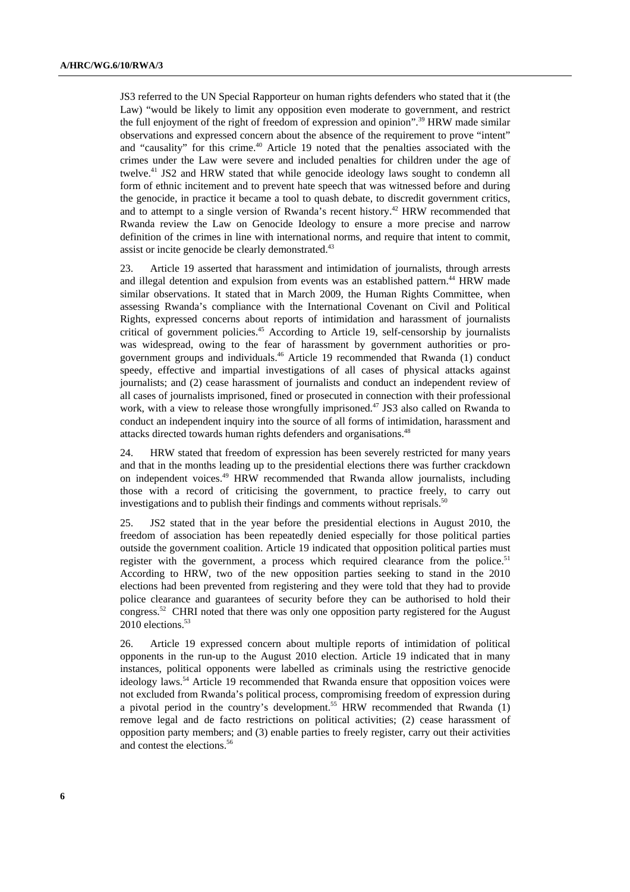JS3 referred to the UN Special Rapporteur on human rights defenders who stated that it (the Law) "would be likely to limit any opposition even moderate to government, and restrict the full enjoyment of the right of freedom of expression and opinion".39 HRW made similar observations and expressed concern about the absence of the requirement to prove "intent" and "causality" for this crime.<sup>40</sup> Article 19 noted that the penalties associated with the crimes under the Law were severe and included penalties for children under the age of twelve.<sup>41</sup> JS2 and HRW stated that while genocide ideology laws sought to condemn all form of ethnic incitement and to prevent hate speech that was witnessed before and during the genocide, in practice it became a tool to quash debate, to discredit government critics, and to attempt to a single version of Rwanda's recent history.<sup>42</sup> HRW recommended that Rwanda review the Law on Genocide Ideology to ensure a more precise and narrow definition of the crimes in line with international norms, and require that intent to commit, assist or incite genocide be clearly demonstrated.<sup>43</sup>

23. Article 19 asserted that harassment and intimidation of journalists, through arrests and illegal detention and expulsion from events was an established pattern.<sup>44</sup> HRW made similar observations. It stated that in March 2009, the Human Rights Committee, when assessing Rwanda's compliance with the International Covenant on Civil and Political Rights, expressed concerns about reports of intimidation and harassment of journalists critical of government policies.<sup>45</sup> According to Article 19, self-censorship by journalists was widespread, owing to the fear of harassment by government authorities or progovernment groups and individuals.46 Article 19 recommended that Rwanda (1) conduct speedy, effective and impartial investigations of all cases of physical attacks against journalists; and (2) cease harassment of journalists and conduct an independent review of all cases of journalists imprisoned, fined or prosecuted in connection with their professional work, with a view to release those wrongfully imprisoned.<sup>47</sup> JS3 also called on Rwanda to conduct an independent inquiry into the source of all forms of intimidation, harassment and attacks directed towards human rights defenders and organisations.<sup>48</sup>

24. HRW stated that freedom of expression has been severely restricted for many years and that in the months leading up to the presidential elections there was further crackdown on independent voices.49 HRW recommended that Rwanda allow journalists, including those with a record of criticising the government, to practice freely, to carry out investigations and to publish their findings and comments without reprisals.<sup>51</sup>

25. JS2 stated that in the year before the presidential elections in August 2010, the freedom of association has been repeatedly denied especially for those political parties outside the government coalition. Article 19 indicated that opposition political parties must register with the government, a process which required clearance from the police.<sup>51</sup> According to HRW, two of the new opposition parties seeking to stand in the 2010 elections had been prevented from registering and they were told that they had to provide police clearance and guarantees of security before they can be authorised to hold their congress.52 CHRI noted that there was only one opposition party registered for the August 2010 elections.<sup>53</sup>

26. Article 19 expressed concern about multiple reports of intimidation of political opponents in the run-up to the August 2010 election. Article 19 indicated that in many instances, political opponents were labelled as criminals using the restrictive genocide ideology laws.<sup>54</sup> Article 19 recommended that Rwanda ensure that opposition voices were not excluded from Rwanda's political process, compromising freedom of expression during a pivotal period in the country's development.<sup>55</sup> HRW recommended that Rwanda (1) remove legal and de facto restrictions on political activities; (2) cease harassment of opposition party members; and (3) enable parties to freely register, carry out their activities and contest the elections.<sup>56</sup>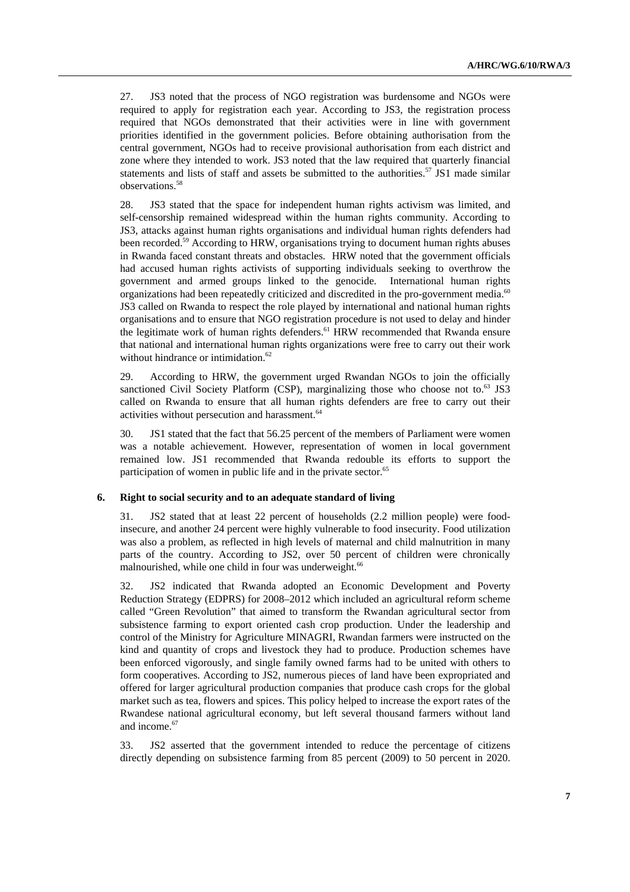27. JS3 noted that the process of NGO registration was burdensome and NGOs were required to apply for registration each year. According to JS3, the registration process required that NGOs demonstrated that their activities were in line with government priorities identified in the government policies. Before obtaining authorisation from the central government, NGOs had to receive provisional authorisation from each district and zone where they intended to work. JS3 noted that the law required that quarterly financial statements and lists of staff and assets be submitted to the authorities.<sup>57</sup> JS1 made similar observations.58

28. JS3 stated that the space for independent human rights activism was limited, and self-censorship remained widespread within the human rights community. According to JS3, attacks against human rights organisations and individual human rights defenders had been recorded.<sup>59</sup> According to HRW, organisations trying to document human rights abuses in Rwanda faced constant threats and obstacles. HRW noted that the government officials had accused human rights activists of supporting individuals seeking to overthrow the government and armed groups linked to the genocide. International human rights organizations had been repeatedly criticized and discredited in the pro-government media.<sup>60</sup> JS3 called on Rwanda to respect the role played by international and national human rights organisations and to ensure that NGO registration procedure is not used to delay and hinder the legitimate work of human rights defenders.<sup>61</sup> HRW recommended that Rwanda ensure that national and international human rights organizations were free to carry out their work without hindrance or intimidation.<sup>62</sup>

29. According to HRW, the government urged Rwandan NGOs to join the officially sanctioned Civil Society Platform (CSP), marginalizing those who choose not to.<sup>63</sup> JS3 called on Rwanda to ensure that all human rights defenders are free to carry out their activities without persecution and harassment.<sup>64</sup>

30. JS1 stated that the fact that 56.25 percent of the members of Parliament were women was a notable achievement. However, representation of women in local government remained low. JS1 recommended that Rwanda redouble its efforts to support the participation of women in public life and in the private sector.<sup>65</sup>

#### **6. Right to social security and to an adequate standard of living**

31. JS2 stated that at least 22 percent of households (2.2 million people) were foodinsecure, and another 24 percent were highly vulnerable to food insecurity. Food utilization was also a problem, as reflected in high levels of maternal and child malnutrition in many parts of the country. According to JS2, over 50 percent of children were chronically malnourished, while one child in four was underweight.<sup>66</sup>

32. JS2 indicated that Rwanda adopted an Economic Development and Poverty Reduction Strategy (EDPRS) for 2008–2012 which included an agricultural reform scheme called "Green Revolution" that aimed to transform the Rwandan agricultural sector from subsistence farming to export oriented cash crop production. Under the leadership and control of the Ministry for Agriculture MINAGRI, Rwandan farmers were instructed on the kind and quantity of crops and livestock they had to produce. Production schemes have been enforced vigorously, and single family owned farms had to be united with others to form cooperatives. According to JS2, numerous pieces of land have been expropriated and offered for larger agricultural production companies that produce cash crops for the global market such as tea, flowers and spices. This policy helped to increase the export rates of the Rwandese national agricultural economy, but left several thousand farmers without land and income.<sup>67</sup>

33. JS2 asserted that the government intended to reduce the percentage of citizens directly depending on subsistence farming from 85 percent (2009) to 50 percent in 2020.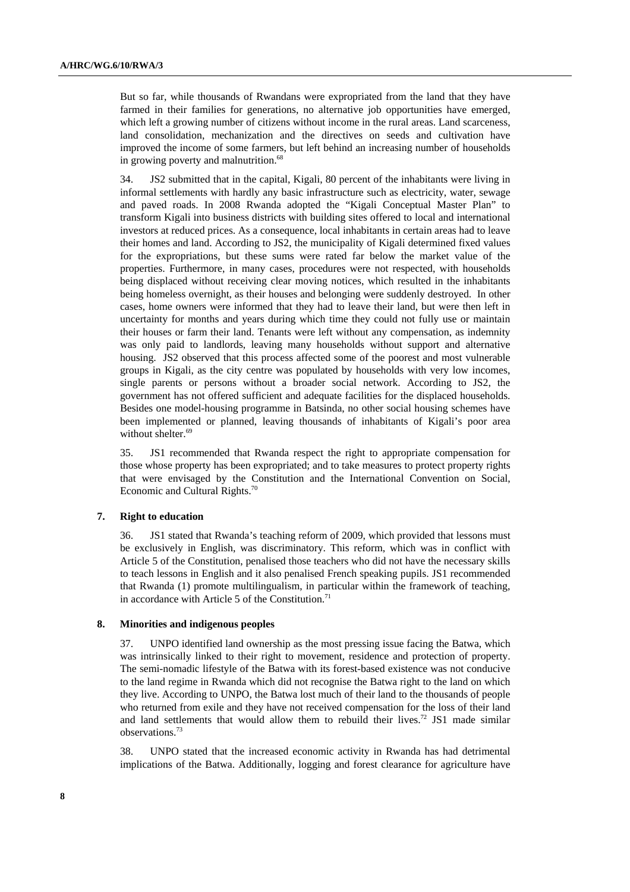But so far, while thousands of Rwandans were expropriated from the land that they have farmed in their families for generations, no alternative job opportunities have emerged, which left a growing number of citizens without income in the rural areas. Land scarceness, land consolidation, mechanization and the directives on seeds and cultivation have improved the income of some farmers, but left behind an increasing number of households in growing poverty and malnutrition.<sup>68</sup>

34. JS2 submitted that in the capital, Kigali, 80 percent of the inhabitants were living in informal settlements with hardly any basic infrastructure such as electricity, water, sewage and paved roads. In 2008 Rwanda adopted the "Kigali Conceptual Master Plan" to transform Kigali into business districts with building sites offered to local and international investors at reduced prices. As a consequence, local inhabitants in certain areas had to leave their homes and land. According to JS2, the municipality of Kigali determined fixed values for the expropriations, but these sums were rated far below the market value of the properties. Furthermore, in many cases, procedures were not respected, with households being displaced without receiving clear moving notices, which resulted in the inhabitants being homeless overnight, as their houses and belonging were suddenly destroyed. In other cases, home owners were informed that they had to leave their land, but were then left in uncertainty for months and years during which time they could not fully use or maintain their houses or farm their land. Tenants were left without any compensation, as indemnity was only paid to landlords, leaving many households without support and alternative housing. JS2 observed that this process affected some of the poorest and most vulnerable groups in Kigali, as the city centre was populated by households with very low incomes, single parents or persons without a broader social network. According to JS2, the government has not offered sufficient and adequate facilities for the displaced households. Besides one model-housing programme in Batsinda, no other social housing schemes have been implemented or planned, leaving thousands of inhabitants of Kigali's poor area without shelter.<sup>69</sup>

35. JS1 recommended that Rwanda respect the right to appropriate compensation for those whose property has been expropriated; and to take measures to protect property rights that were envisaged by the Constitution and the International Convention on Social, Economic and Cultural Rights.70

#### **7. Right to education**

36. JS1 stated that Rwanda's teaching reform of 2009, which provided that lessons must be exclusively in English, was discriminatory. This reform, which was in conflict with Article 5 of the Constitution, penalised those teachers who did not have the necessary skills to teach lessons in English and it also penalised French speaking pupils. JS1 recommended that Rwanda (1) promote multilingualism, in particular within the framework of teaching, in accordance with Article  $5$  of the Constitution.<sup>71</sup>

#### **8. Minorities and indigenous peoples**

37. UNPO identified land ownership as the most pressing issue facing the Batwa, which was intrinsically linked to their right to movement, residence and protection of property. The semi-nomadic lifestyle of the Batwa with its forest-based existence was not conducive to the land regime in Rwanda which did not recognise the Batwa right to the land on which they live. According to UNPO, the Batwa lost much of their land to the thousands of people who returned from exile and they have not received compensation for the loss of their land and land settlements that would allow them to rebuild their lives.72 JS1 made similar observations.73

38. UNPO stated that the increased economic activity in Rwanda has had detrimental implications of the Batwa. Additionally, logging and forest clearance for agriculture have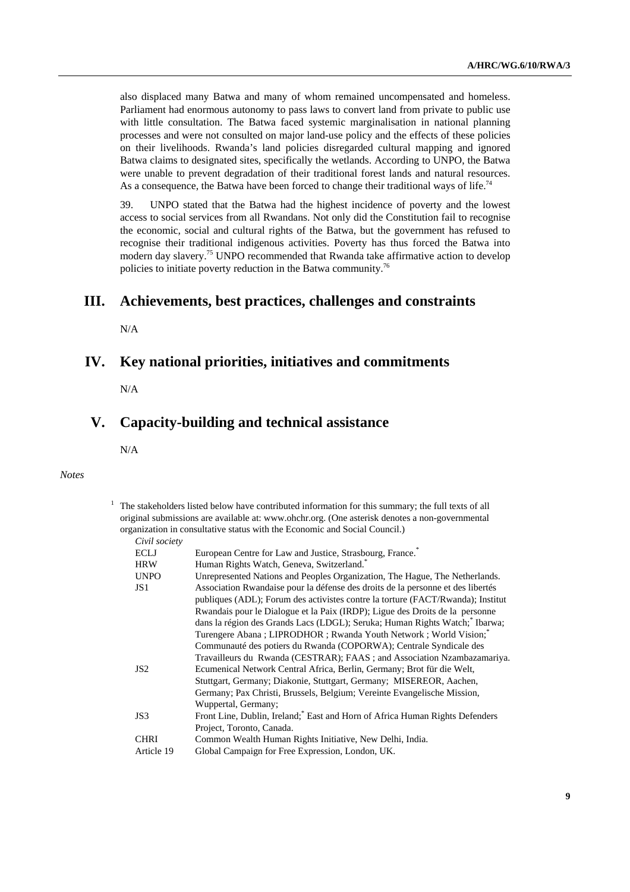also displaced many Batwa and many of whom remained uncompensated and homeless. Parliament had enormous autonomy to pass laws to convert land from private to public use with little consultation. The Batwa faced systemic marginalisation in national planning processes and were not consulted on major land-use policy and the effects of these policies on their livelihoods. Rwanda's land policies disregarded cultural mapping and ignored Batwa claims to designated sites, specifically the wetlands. According to UNPO, the Batwa were unable to prevent degradation of their traditional forest lands and natural resources. As a consequence, the Batwa have been forced to change their traditional ways of life.<sup>74</sup>

39. UNPO stated that the Batwa had the highest incidence of poverty and the lowest access to social services from all Rwandans. Not only did the Constitution fail to recognise the economic, social and cultural rights of the Batwa, but the government has refused to recognise their traditional indigenous activities. Poverty has thus forced the Batwa into modern day slavery.<sup>75</sup> UNPO recommended that Rwanda take affirmative action to develop policies to initiate poverty reduction in the Batwa community.76

## **III. Achievements, best practices, challenges and constraints**

N/A

## **IV. Key national priorities, initiatives and commitments**

N/A

## **V. Capacity-building and technical assistance**

N/A

#### *Notes*

| European Centre for Law and Justice, Strasbourg, France. <sup>*</sup>           |
|---------------------------------------------------------------------------------|
| Human Rights Watch, Geneva, Switzerland. <sup>*</sup>                           |
| Unrepresented Nations and Peoples Organization, The Hague, The Netherlands.     |
| Association Rwandaise pour la défense des droits de la personne et des libertés |
| publiques (ADL); Forum des activistes contre la torture (FACT/Rwanda); Institut |
| Rwandais pour le Dialogue et la Paix (IRDP); Ligue des Droits de la personne    |
| dans la région des Grands Lacs (LDGL); Seruka; Human Rights Watch; Ibarwa;      |
| Turengere Abana; LIPRODHOR; Rwanda Youth Network; World Vision;"                |
| Communauté des potiers du Rwanda (COPORWA); Centrale Syndicale des              |
| Travailleurs du Rwanda (CESTRAR); FAAS ; and Association Nzambazamariya.        |
| Ecumenical Network Central Africa, Berlin, Germany; Brot für die Welt,          |
| Stuttgart, Germany; Diakonie, Stuttgart, Germany; MISEREOR, Aachen,             |
| Germany; Pax Christi, Brussels, Belgium; Vereinte Evangelische Mission,         |
| Wuppertal, Germany;                                                             |
| Front Line, Dublin, Ireland; East and Horn of Africa Human Rights Defenders     |
| Project, Toronto, Canada.                                                       |
| Common Wealth Human Rights Initiative, New Delhi, India.                        |
| Global Campaign for Free Expression, London, UK.                                |
|                                                                                 |

 $1$  The stakeholders listed below have contributed information for this summary; the full texts of all original submissions are available at: www.ohchr.org. (One asterisk denotes a non-governmental organization in consultative status with the Economic and Social Council.)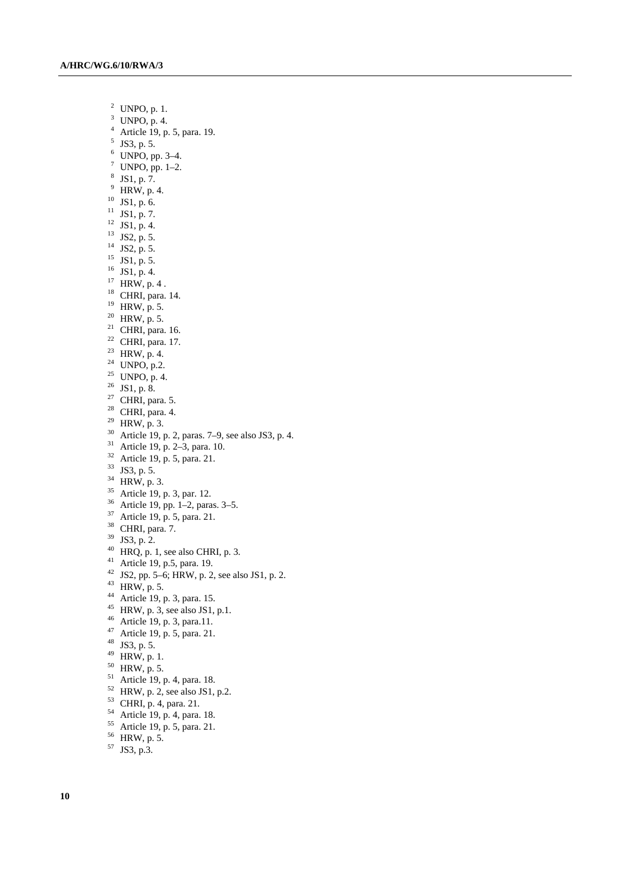- <sup>2</sup> UNPO, p. 1.  $3$  UNPO, p. 4. 4 Article 19, p. 5, para. 19.  $5$  JS3, p. 5.  $^6$  UNPO, pp. 3–4.<br>  $^7$  UNPO, pp. 1–2.<br>  $^8$  JS1, p. 7.  $9$  HRW, p. 4.  $^{10}$  JS1, p. 6.  $11$  JS1, p. 7.  $12$  JS1, p. 4.  $^{13}$  JS2, p. 5.  $14$  JS2, p. 5.  $^{15}$  JS1, p. 5.  $16$  JS1, p. 4.  $17$  HRW, p. 4. 18 CHRI, para. 14. 19 HRW, p. 5.  $20$  HRW, p. 5. <sup>21</sup> CHRI, para. 16.  $22$  CHRI, para. 17. <sup>23</sup> HRW, p. 4.  $24$  UNPO, p.2. <sup>25</sup> UNPO, p. 4.  $26$  JS1, p. 8.  $27$  CHRI, para. 5.  $28$  CHRI, para. 4.  $^{29}$  HRW, p. 3. <sup>30</sup> Article 19, p. 2, paras. 7–9, see also JS3, p. 4.<br><sup>31</sup> Article 19, p. 2–3, para. 10.  $32$  Article 19, p. 5, para. 21. 33 JS3, p. 5.  $34$  HRW, p. 3.  $35$  Article 19, p. 3, par. 12.  $36$  Article 19, pp. 1–2, paras. 3–5. 37 Article 19, p. 5, para. 21. 38 CHRI, para. 7. 39 JS3, p. 2.  $^{40}$  HRQ, p. 1, see also CHRI, p. 3. 41 Article 19, p.5, para. 19. <sup>42</sup> JS2, pp. 5–6; HRW, p. 2, see also JS1, p. 2. 43 HRW, p. 5. 44 Article 19, p. 3, para. 15. <sup>45</sup> HRW, p. 3, see also JS1, p.1. 46 Article 19, p. 3, para.11. 47 Article 19, p. 5, para. 21. 48 JS3, p. 5. 49 HRW, p. 1.  $50$  HRW, p. 5. 51 Article 19, p. 4, para. 18.
- $52$  HRW, p. 2, see also JS1, p.2.
- 53 CHRI, p. 4, para. 21.
- 54 Article 19, p. 4, para. 18.
- 55 Article 19, p. 5, para. 21.
- $56$  HRW, p. 5.
- 57 JS3, p.3.